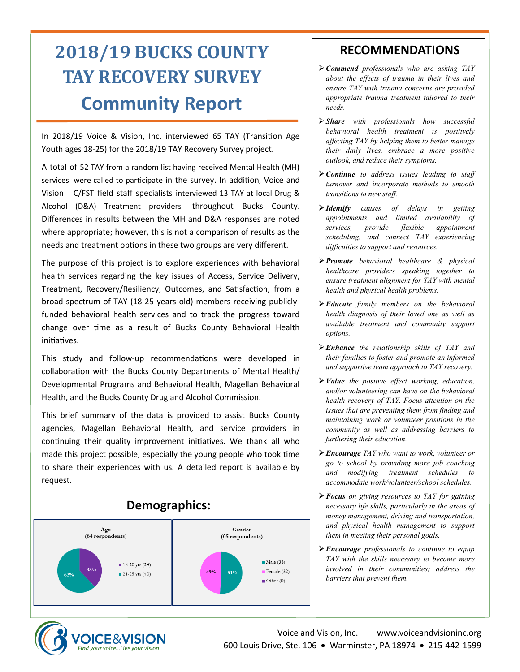# **2018/19 BUCKS COUNTY TAY RECOVERY SURVEY Community Report**

In 2018/19 Voice & Vision, Inc. interviewed 65 TAY (Transition Age Youth ages 18-25) for the 2018/19 TAY Recovery Survey project.

A total of 52 TAY from a random list having received Mental Health (MH) services were called to participate in the survey. In addition, Voice and Vision C/FST field staff specialists interviewed 13 TAY at local Drug & Alcohol (D&A) Treatment providers throughout Bucks County. Differences in results between the MH and D&A responses are noted where appropriate; however, this is not a comparison of results as the needs and treatment options in these two groups are very different.

The purpose of this project is to explore experiences with behavioral health services regarding the key issues of Access, Service Delivery, Treatment, Recovery/Resiliency, Outcomes, and Satisfaction, from a broad spectrum of TAY (18-25 years old) members receiving publiclyfunded behavioral health services and to track the progress toward change over time as a result of Bucks County Behavioral Health initiatives.

This study and follow-up recommendations were developed in collaboration with the Bucks County Departments of Mental Health/ Developmental Programs and Behavioral Health, Magellan Behavioral Health, and the Bucks County Drug and Alcohol Commission.

This brief summary of the data is provided to assist Bucks County agencies, Magellan Behavioral Health, and service providers in continuing their quality improvement initiatives. We thank all who made this project possible, especially the young people who took time to share their experiences with us. A detailed report is available by request.



### **RECOMMENDATIONS**

- ➢*Commend professionals who are asking TAY about the effects of trauma in their lives and ensure TAY with trauma concerns are provided appropriate trauma treatment tailored to their needs.*
- ➢*Share with professionals how successful behavioral health treatment is positively affecting TAY by helping them to better manage their daily lives, embrace a more positive outlook, and reduce their symptoms.*
- ➢*Continue to address issues leading to staff turnover and incorporate methods to smooth transitions to new staff.*
- ➢*Identify causes of delays in getting appointments and limited availability of services, provide flexible appointment scheduling, and connect TAY experiencing difficulties to support and resources.*
- ➢*Promote behavioral healthcare & physical healthcare providers speaking together to ensure treatment alignment for TAY with mental health and physical health problems.*
- ➢*Educate family members on the behavioral health diagnosis of their loved one as well as available treatment and community support options.*
- ➢*Enhance the relationship skills of TAY and their families to foster and promote an informed and supportive team approach to TAY recovery.*
- ➢*Value the positive effect working, education, and/or volunteering can have on the behavioral health recovery of TAY. Focus attention on the issues that are preventing them from finding and maintaining work or volunteer positions in the community as well as addressing barriers to furthering their education.*
- ➢*Encourage TAY who want to work, volunteer or go to school by providing more job coaching and modifying treatment schedules to accommodate work/volunteer/school schedules.*
- ➢*Focus on giving resources to TAY for gaining necessary life skills, particularly in the areas of money management, driving and transportation, and physical health management to support them in meeting their personal goals.*
- ➢*Encourage professionals to continue to equip TAY with the skills necessary to become more involved in their communities; address the barriers that prevent them.*

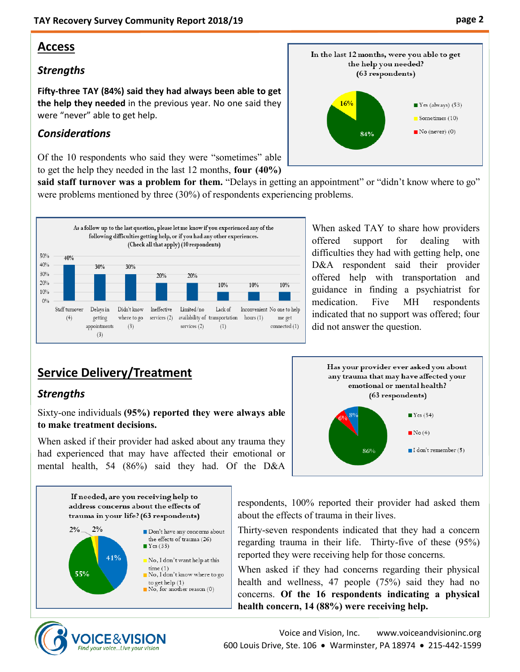#### **Access**

#### *Strengths*

**Fifty-three TAY (84%) said they had always been able to get the help they needed** in the previous year. No one said they were "never" able to get help.

#### *Considerations*

Of the 10 respondents who said they were "sometimes" able to get the help they needed in the last 12 months, **four (40%)** 

said staff turnover was a problem for them. "Delays in getting an appointment" or "didn't know where to go" were problems mentioned by three (30%) of respondents experiencing problems.



#### When asked TAY to share how providers offered support for dealing with difficulties they had with getting help, one D&A respondent said their provider offered help with transportation and guidance in finding a psychiatrist for medication. Five MH respondents indicated that no support was offered; four did not answer the question.

### **Service Delivery/Treatment**

#### *Strengths*

Sixty-one individuals **(95%) reported they were always able to make treatment decisions.**

When asked if their provider had asked about any trauma they had experienced that may have affected their emotional or mental health, 54 (86%) said they had. Of the D&A



If needed, are you receiving help to address concerns about the effects of trauma in your life? (63 respondents)



respondents, 100% reported their provider had asked them about the effects of trauma in their lives.

Thirty-seven respondents indicated that they had a concern regarding trauma in their life. Thirty-five of these (95%) reported they were receiving help for those concerns.

When asked if they had concerns regarding their physical health and wellness, 47 people (75%) said they had no concerns. **Of the 16 respondents indicating a physical health concern, 14 (88%) were receiving help.**



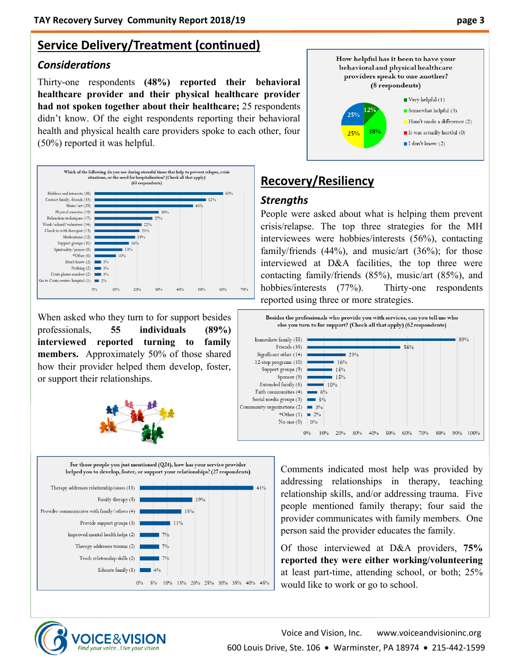### **Service Delivery/Treatment (continued)**

#### *Considerations*

Thirty-one respondents **(48%) reported their behavioral healthcare provider and their physical healthcare provider had not spoken together about their healthcare;** 25 respondents didn't know. Of the eight respondents reporting their behavioral health and physical health care providers spoke to each other, four (50%) reported it was helpful.



When asked who they turn to for support besides professionals, **55 individuals (89%) interviewed reported turning to family members.** Approximately 50% of those shared how their provider helped them develop, foster, or support their relationships.



For those people you just mentioned  $(Q24)$ , how has your service provider helped you to develop, foster, or support your relationships? (27 respondents)





### **Recovery/Resiliency**

#### *Strengths*

People were asked about what is helping them prevent crisis/relapse. The top three strategies for the MH interviewees were hobbies/interests (56%), contacting family/friends (44%), and music/art (36%); for those interviewed at D&A facilities, the top three were contacting family/friends (85%), music/art (85%), and hobbies/interests (77%). Thirty-one respondents reported using three or more strategies.



Comments indicated most help was provided by addressing relationships in therapy, teaching relationship skills, and/or addressing trauma. Five people mentioned family therapy; four said the provider communicates with family members. One person said the provider educates the family.

Of those interviewed at D&A providers, **75% reported they were either working/volunteering**  at least part-time, attending school, or both; 25% would like to work or go to school.